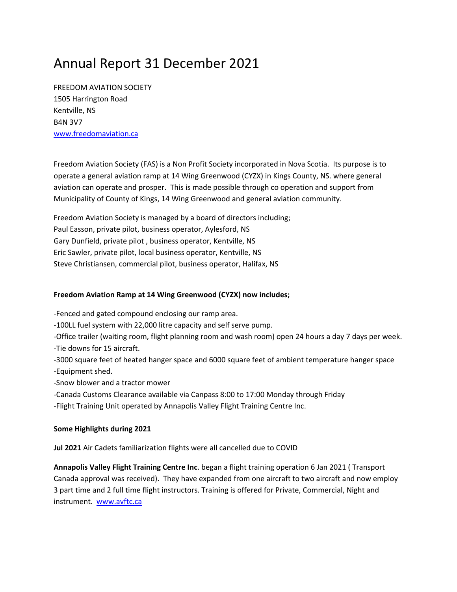# Annual Report 31 December 2021

FREEDOM AVIATION SOCIETY 1505 Harrington Road Kentville, NS B4N 3V7 www.freedomaviation.ca

Freedom Aviation Society (FAS) is a Non Profit Society incorporated in Nova Scotia. Its purpose is to operate a general aviation ramp at 14 Wing Greenwood (CYZX) in Kings County, NS. where general aviation can operate and prosper. This is made possible through co operation and support from Municipality of County of Kings, 14 Wing Greenwood and general aviation community.

Freedom Aviation Society is managed by a board of directors including; Paul Easson, private pilot, business operator, Aylesford, NS Gary Dunfield, private pilot , business operator, Kentville, NS Eric Sawler, private pilot, local business operator, Kentville, NS Steve Christiansen, commercial pilot, business operator, Halifax, NS

### **Freedom Aviation Ramp at 14 Wing Greenwood (CYZX) now includes;**

‐Fenced and gated compound enclosing our ramp area.

‐100LL fuel system with 22,000 litre capacity and self serve pump.

‐Office trailer (waiting room, flight planning room and wash room) open 24 hours a day 7 days per week. ‐Tie downs for 15 aircraft.

‐3000 square feet of heated hanger space and 6000 square feet of ambient temperature hanger space ‐Equipment shed.

‐Snow blower and a tractor mower

‐Canada Customs Clearance available via Canpass 8:00 to 17:00 Monday through Friday

‐Flight Training Unit operated by Annapolis Valley Flight Training Centre Inc.

#### **Some Highlights during 2021**

**Jul 2021** Air Cadets familiarization flights were all cancelled due to COVID

**Annapolis Valley Flight Training Centre Inc**. began a flight training operation 6 Jan 2021 ( Transport Canada approval was received). They have expanded from one aircraft to two aircraft and now employ 3 part time and 2 full time flight instructors. Training is offered for Private, Commercial, Night and instrument. www.avftc.ca